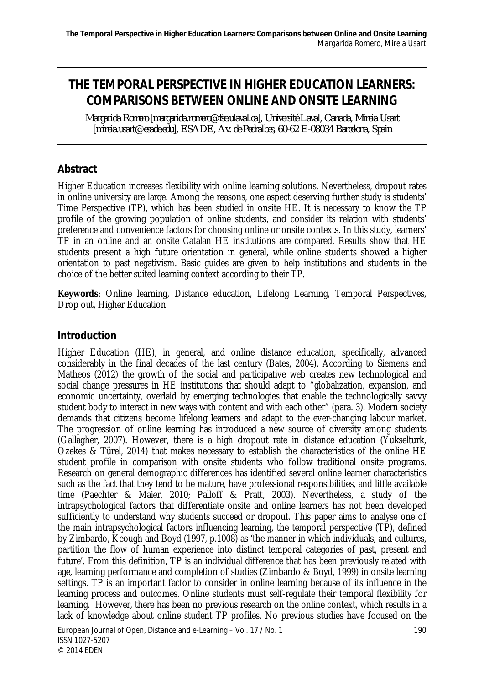# **THE TEMPORAL PERSPECTIVE IN HIGHER EDUCATION LEARNERS: COMPARISONS BETWEEN ONLINE AND ONSITE LEARNING**

*Margarida Romero [margarida.romero@fse.ulaval.ca], Université Laval, Canada, Mireia Usart [mireia.usart@esade.edu], ESADE, Av. de Pedralbes, 60-62 E-08034 Barcelona, Spain*

# **Abstract**

Higher Education increases flexibility with online learning solutions. Nevertheless, dropout rates in online university are large. Among the reasons, one aspect deserving further study is students' Time Perspective (TP), which has been studied in onsite HE. It is necessary to know the TP profile of the growing population of online students, and consider its relation with students' preference and convenience factors for choosing online or onsite contexts. In this study, learners' TP in an online and an onsite Catalan HE institutions are compared. Results show that HE students present a high future orientation in general, while online students showed a higher orientation to past negativism. Basic guides are given to help institutions and students in the choice of the better suited learning context according to their TP.

**Keywords**: Online learning, Distance education, Lifelong Learning, Temporal Perspectives, Drop out, Higher Education

# **Introduction**

Higher Education (HE), in general, and online distance education, specifically, advanced considerably in the final decades of the last century (Bates, 2004). According to Siemens and Matheos (2012) the growth of the social and participative web creates new technological and social change pressures in HE institutions that should adapt to "globalization, expansion, and economic uncertainty, overlaid by emerging technologies that enable the technologically savvy student body to interact in new ways with content and with each other" (para. 3). Modern society demands that citizens become lifelong learners and adapt to the ever-changing labour market. The progression of online learning has introduced a new source of diversity among students (Gallagher, 2007). However, there is a high dropout rate in distance education (Yukselturk, Ozekes & Türel, 2014) that makes necessary to establish the characteristics of the online HE student profile in comparison with onsite students who follow traditional onsite programs. Research on general demographic differences has identified several online learner characteristics such as the fact that they tend to be mature, have professional responsibilities, and little available time (Paechter & Maier, 2010; Palloff & Pratt, 2003). Nevertheless, a study of the intrapsychological factors that differentiate onsite and online learners has not been developed sufficiently to understand why students succeed or dropout. This paper aims to analyse one of the main intrapsychological factors influencing learning, the temporal perspective (TP), defined by Zimbardo, Keough and Boyd (1997, p.1008) as 'the manner in which individuals, and cultures, partition the flow of human experience into distinct temporal categories of past, present and future'. From this definition, TP is an individual difference that has been previously related with age, learning performance and completion of studies (Zimbardo & Boyd, 1999) in onsite learning settings. TP is an important factor to consider in online learning because of its influence in the learning process and outcomes. Online students must self-regulate their temporal flexibility for learning. However, there has been no previous research on the online context, which results in a lack of knowledge about online student TP profiles. No previous studies have focused on the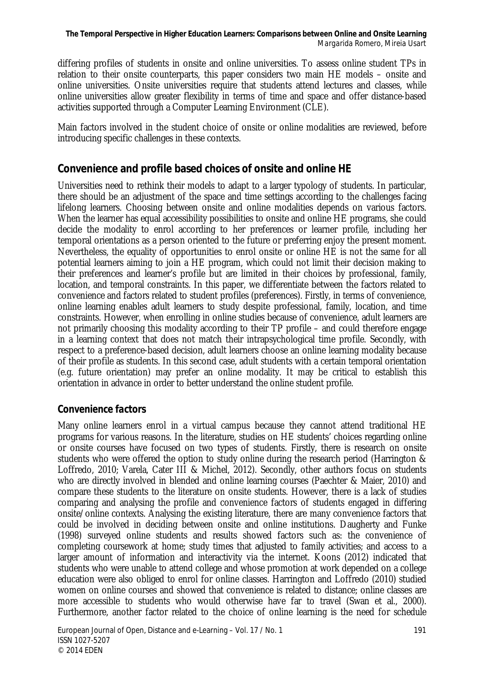differing profiles of students in onsite and online universities. To assess online student TPs in relation to their onsite counterparts, this paper considers two main HE models – onsite and online universities. Onsite universities require that students attend lectures and classes, while online universities allow greater flexibility in terms of time and space and offer distance-based activities supported through a Computer Learning Environment (CLE).

Main factors involved in the student choice of onsite or online modalities are reviewed, before introducing specific challenges in these contexts.

# **Convenience and profile based choices of onsite and online HE**

Universities need to rethink their models to adapt to a larger typology of students. In particular, there should be an adjustment of the space and time settings according to the challenges facing lifelong learners. Choosing between onsite and online modalities depends on various factors. When the learner has equal accessibility possibilities to onsite and online HE programs, she could decide the modality to enrol according to her preferences or learner profile, including her temporal orientations as a person oriented to the future or preferring enjoy the present moment. Nevertheless, the equality of opportunities to enrol onsite or online HE is not the same for all potential learners aiming to join a HE program, which could not limit their decision making to their preferences and learner's profile but are limited in their choices by professional, family, location, and temporal constraints. In this paper, we differentiate between the factors related to convenience and factors related to student profiles (preferences). Firstly, in terms of convenience, online learning enables adult learners to study despite professional, family, location, and time constraints. However, when enrolling in online studies because of convenience, adult learners are not primarily choosing this modality according to their TP profile – and could therefore engage in a learning context that does not match their intrapsychological time profile. Secondly, with respect to a preference-based decision, adult learners choose an online learning modality because of their profile as students. In this second case, adult students with a certain temporal orientation (e.g. future orientation) may prefer an online modality. It may be critical to establish this orientation in advance in order to better understand the online student profile.

#### *Convenience factors*

Many online learners enrol in a virtual campus because they cannot attend traditional HE programs for various reasons. In the literature, studies on HE students' choices regarding online or onsite courses have focused on two types of students. Firstly, there is research on onsite students who were offered the option to study online during the research period (Harrington & Loffredo, 2010; Varela, Cater III & Michel, 2012). Secondly, other authors focus on students who are directly involved in blended and online learning courses (Paechter & Maier, 2010) and compare these students to the literature on onsite students. However, there is a lack of studies comparing and analysing the profile and convenience factors of students engaged in differing onsite/online contexts. Analysing the existing literature, there are many convenience factors that could be involved in deciding between onsite and online institutions. Daugherty and Funke (1998) surveyed online students and results showed factors such as: the convenience of completing coursework at home; study times that adjusted to family activities; and access to a larger amount of information and interactivity via the internet. Koons (2012) indicated that students who were unable to attend college and whose promotion at work depended on a college education were also obliged to enrol for online classes. Harrington and Loffredo (2010) studied women on online courses and showed that convenience is related to distance; online classes are more accessible to students who would otherwise have far to travel (Swan et al., 2000). Furthermore, another factor related to the choice of online learning is the need for schedule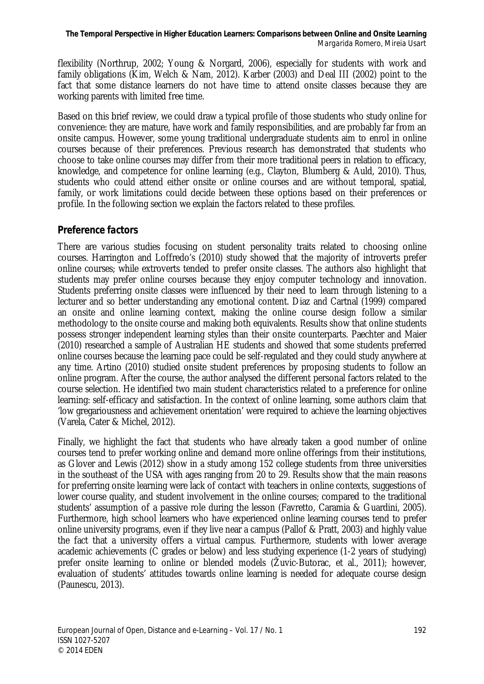flexibility (Northrup, 2002; Young & Norgard, 2006), especially for students with work and family obligations (Kim, Welch & Nam, 2012). Karber (2003) and Deal III (2002) point to the fact that some distance learners do not have time to attend onsite classes because they are working parents with limited free time.

Based on this brief review, we could draw a typical profile of those students who study online for convenience: they are mature, have work and family responsibilities, and are probably far from an onsite campus. However, some young traditional undergraduate students aim to enrol in online courses because of their preferences. Previous research has demonstrated that students who choose to take online courses may differ from their more traditional peers in relation to efficacy, knowledge, and competence for online learning (e.g., Clayton, Blumberg & Auld, 2010). Thus, students who could attend either onsite or online courses and are without temporal, spatial, family, or work limitations could decide between these options based on their preferences or profile. In the following section we explain the factors related to these profiles.

# *Preference factors*

There are various studies focusing on student personality traits related to choosing online courses. Harrington and Loffredo's (2010) study showed that the majority of introverts prefer online courses; while extroverts tended to prefer onsite classes. The authors also highlight that students may prefer online courses because they enjoy computer technology and innovation. Students preferring onsite classes were influenced by their need to learn through listening to a lecturer and so better understanding any emotional content. Diaz and Cartnal (1999) compared an onsite and online learning context, making the online course design follow a similar methodology to the onsite course and making both equivalents. Results show that online students possess stronger independent learning styles than their onsite counterparts. Paechter and Maier (2010) researched a sample of Australian HE students and showed that some students preferred online courses because the learning pace could be self-regulated and they could study anywhere at any time. Artino (2010) studied onsite student preferences by proposing students to follow an online program. After the course, the author analysed the different personal factors related to the course selection. He identified two main student characteristics related to a preference for online learning: self-efficacy and satisfaction. In the context of online learning, some authors claim that 'low gregariousness and achievement orientation' were required to achieve the learning objectives (Varela, Cater & Michel, 2012).

Finally, we highlight the fact that students who have already taken a good number of online courses tend to prefer working online and demand more online offerings from their institutions, as Glover and Lewis (2012) show in a study among 152 college students from three universities in the southeast of the USA with ages ranging from 20 to 29. Results show that the main reasons for preferring onsite learning were lack of contact with teachers in online contexts, suggestions of lower course quality, and student involvement in the online courses; compared to the traditional students' assumption of a passive role during the lesson (Favretto, Caramia & Guardini, 2005). Furthermore, high school learners who have experienced online learning courses tend to prefer online university programs, even if they live near a campus (Pallof & Pratt, 2003) and highly value the fact that a university offers a virtual campus. Furthermore, students with lower average academic achievements (C grades or below) and less studying experience (1-2 years of studying) prefer onsite learning to online or blended models (Žuvic-Butorac, et al., 2011); however, evaluation of students' attitudes towards online learning is needed for adequate course design (Paunescu, 2013).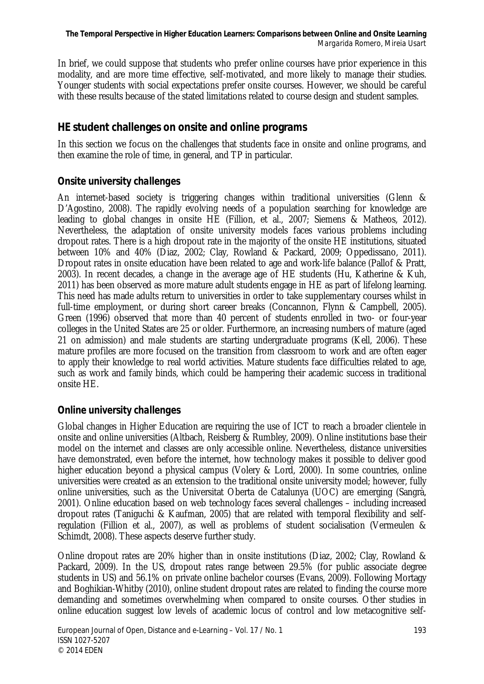In brief, we could suppose that students who prefer online courses have prior experience in this modality, and are more time effective, self-motivated, and more likely to manage their studies. Younger students with social expectations prefer onsite courses. However, we should be careful with these results because of the stated limitations related to course design and student samples.

# **HE student challenges on onsite and online programs**

In this section we focus on the challenges that students face in onsite and online programs, and then examine the role of time, in general, and TP in particular.

#### *Onsite university challenges*

An internet-based society is triggering changes within traditional universities (Glenn & D'Agostino, 2008). The rapidly evolving needs of a population searching for knowledge are leading to global changes in onsite HE (Fillion, et al., 2007; Siemens & Matheos, 2012). Nevertheless, the adaptation of onsite university models faces various problems including dropout rates. There is a high dropout rate in the majority of the onsite HE institutions, situated between 10% and 40% (Diaz, 2002; Clay, Rowland & Packard, 2009; Oppedissano, 2011). Dropout rates in onsite education have been related to age and work-life balance (Pallof & Pratt, 2003). In recent decades, a change in the average age of HE students (Hu, Katherine & Kuh, 2011) has been observed as more mature adult students engage in HE as part of lifelong learning. This need has made adults return to universities in order to take supplementary courses whilst in full-time employment, or during short career breaks (Concannon, Flynn & Campbell, 2005). Green (1996) observed that more than 40 percent of students enrolled in two- or four-year colleges in the United States are 25 or older. Furthermore, an increasing numbers of mature (aged 21 on admission) and male students are starting undergraduate programs (Kell, 2006). These mature profiles are more focused on the transition from classroom to work and are often eager to apply their knowledge to real world activities. Mature students face difficulties related to age, such as work and family binds, which could be hampering their academic success in traditional onsite HE.

# *Online university challenges*

Global changes in Higher Education are requiring the use of ICT to reach a broader clientele in onsite and online universities (Altbach, Reisberg & Rumbley, 2009). Online institutions base their model on the internet and classes are only accessible online. Nevertheless, distance universities have demonstrated, even before the internet, how technology makes it possible to deliver good higher education beyond a physical campus (Volery & Lord, 2000). In some countries, online universities were created as an extension to the traditional onsite university model; however, fully online universities, such as the Universitat Oberta de Catalunya (UOC) are emerging (Sangrà, 2001). Online education based on web technology faces several challenges – including increased dropout rates (Taniguchi & Kaufman, 2005) that are related with temporal flexibility and selfregulation (Fillion et al., 2007), as well as problems of student socialisation (Vermeulen & Schimdt, 2008). These aspects deserve further study.

Online dropout rates are 20% higher than in onsite institutions (Diaz, 2002; Clay, Rowland & Packard, 2009). In the US, dropout rates range between 29.5% (for public associate degree students in US) and 56.1% on private online bachelor courses (Evans, 2009). Following Mortagy and Boghikian-Whitby (2010), online student dropout rates are related to finding the course more demanding and sometimes overwhelming when compared to onsite courses. Other studies in online education suggest low levels of academic locus of control and low metacognitive self-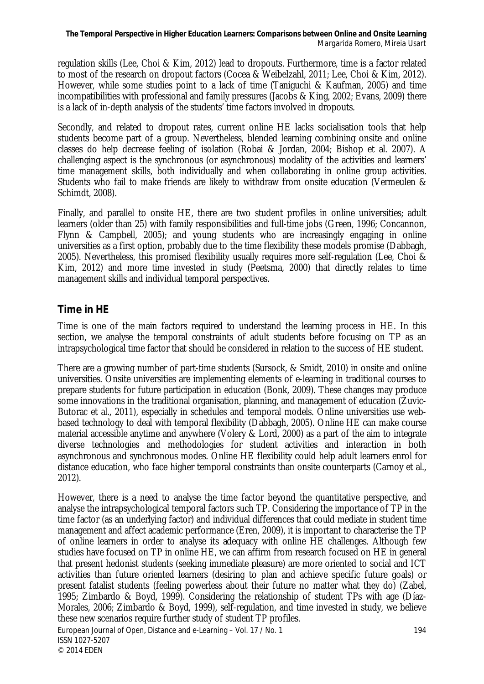regulation skills (Lee, Choi & Kim, 2012) lead to dropouts. Furthermore, time is a factor related to most of the research on dropout factors (Cocea & Weibelzahl, 2011; Lee, Choi & Kim, 2012). However, while some studies point to a lack of time (Taniguchi & Kaufman, 2005) and time incompatibilities with professional and family pressures (Jacobs & King, 2002; Evans, 2009) there is a lack of in-depth analysis of the students' time factors involved in dropouts.

Secondly, and related to dropout rates, current online HE lacks socialisation tools that help students become part of a group. Nevertheless, blended learning combining onsite and online classes do help decrease feeling of isolation (Robai & Jordan, 2004; Bishop et al. 2007). A challenging aspect is the synchronous (or asynchronous) modality of the activities and learners' time management skills, both individually and when collaborating in online group activities. Students who fail to make friends are likely to withdraw from onsite education (Vermeulen & Schimdt, 2008).

Finally, and parallel to onsite HE, there are two student profiles in online universities; adult learners (older than 25) with family responsibilities and full-time jobs (Green, 1996; Concannon, Flynn & Campbell, 2005); and young students who are increasingly engaging in online universities as a first option, probably due to the time flexibility these models promise (Dabbagh, 2005). Nevertheless, this promised flexibility usually requires more self-regulation (Lee, Choi & Kim, 2012) and more time invested in study (Peetsma, 2000) that directly relates to time management skills and individual temporal perspectives.

# **Time in HE**

Time is one of the main factors required to understand the learning process in HE. In this section, we analyse the temporal constraints of adult students before focusing on TP as an intrapsychological time factor that should be considered in relation to the success of HE student.

There are a growing number of part-time students (Sursock, & Smidt, 2010) in onsite and online universities. Onsite universities are implementing elements of e-learning in traditional courses to prepare students for future participation in education (Bonk, 2009). These changes may produce some innovations in the traditional organisation, planning, and management of education (Žuvic-Butorac et al., 2011), especially in schedules and temporal models. Online universities use webbased technology to deal with temporal flexibility (Dabbagh, 2005). Online HE can make course material accessible anytime and anywhere (Volery & Lord, 2000) as a part of the aim to integrate diverse technologies and methodologies for student activities and interaction in both asynchronous and synchronous modes. Online HE flexibility could help adult learners enrol for distance education, who face higher temporal constraints than onsite counterparts (Carnoy et al., 2012).

However, there is a need to analyse the time factor beyond the quantitative perspective, and analyse the intrapsychological temporal factors such TP. Considering the importance of TP in the time factor (as an underlying factor) and individual differences that could mediate in student time management and affect academic performance (Eren, 2009), it is important to characterise the TP of online learners in order to analyse its adequacy with online HE challenges. Although few studies have focused on TP in online HE, we can affirm from research focused on HE in general that present hedonist students (seeking immediate pleasure) are more oriented to social and ICT activities than future oriented learners (desiring to plan and achieve specific future goals) or present fatalist students (feeling powerless about their future no matter what they do) (Zabel, 1995; Zimbardo & Boyd, 1999). Considering the relationship of student TPs with age (Díaz-Morales, 2006; Zimbardo & Boyd, 1999), self-regulation, and time invested in study, we believe these new scenarios require further study of student TP profiles.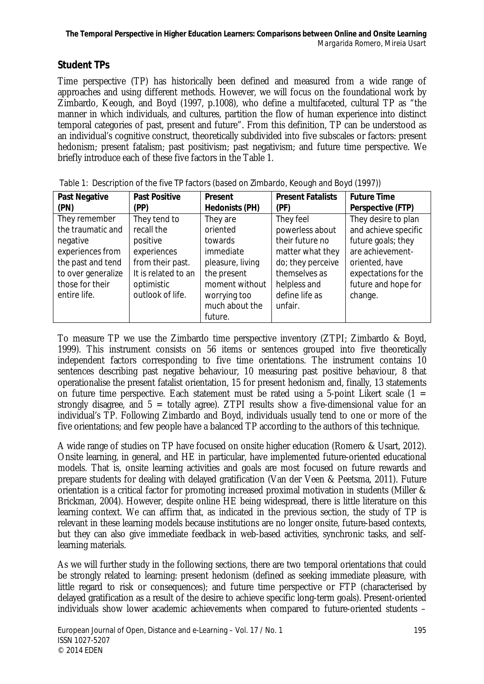# *Student TPs*

Time perspective (TP) has historically been defined and measured from a wide range of approaches and using different methods. However, we will focus on the foundational work by Zimbardo, Keough, and Boyd (1997, p.1008), who define a multifaceted, cultural TP as "the manner in which individuals, and cultures, partition the flow of human experience into distinct temporal categories of past, present and future". From this definition, TP can be understood as an individual's cognitive construct, theoretically subdivided into five subscales or factors: present hedonism; present fatalism; past positivism; past negativism; and future time perspective. We briefly introduce each of these five factors in the Table 1.

| Past Negative      | <b>Past Positive</b> | Present          | <b>Present Fatalists</b> | <b>Future Time</b>   |
|--------------------|----------------------|------------------|--------------------------|----------------------|
| (PN)               | (PP)                 | Hedonists (PH)   | (PF)                     | Perspective (FTP)    |
| They remember      | They tend to         | They are         | They feel                | They desire to plan  |
| the traumatic and  | recall the           | oriented         | powerless about          | and achieve specific |
| negative           | positive             | towards          | their future no          | future goals; they   |
| experiences from   | experiences          | immediate        | matter what they         | are achievement-     |
| the past and tend  | from their past.     | pleasure, living | do; they perceive        | oriented, have       |
| to over generalize | It is related to an  | the present      | themselves as            | expectations for the |
| those for their    | optimistic           | moment without   | helpless and             | future and hope for  |
| entire life.       | outlook of life.     | worrying too     | define life as           | change.              |
|                    |                      | much about the   | unfair.                  |                      |
|                    |                      | future.          |                          |                      |

Table 1: Description of the five TP factors (based on Zimbardo, Keough and Boyd (1997))

To measure TP we use the Zimbardo time perspective inventory (ZTPI; Zimbardo & Boyd, 1999). This instrument consists on 56 items or sentences grouped into five theoretically independent factors corresponding to five time orientations. The instrument contains 10 sentences describing past negative behaviour, 10 measuring past positive behaviour, 8 that operationalise the present fatalist orientation, 15 for present hedonism and, finally, 13 statements on future time perspective. Each statement must be rated using a 5-point Likert scale  $(1 =$ strongly disagree, and  $5 =$  totally agree). ZTPI results show a five-dimensional value for an individual's TP. Following Zimbardo and Boyd, individuals usually tend to one or more of the five orientations; and few people have a balanced TP according to the authors of this technique.

A wide range of studies on TP have focused on onsite higher education (Romero & Usart, 2012). Onsite learning, in general, and HE in particular, have implemented future-oriented educational models. That is, onsite learning activities and goals are most focused on future rewards and prepare students for dealing with delayed gratification (Van der Veen & Peetsma, 2011). Future orientation is a critical factor for promoting increased proximal motivation in students (Miller & Brickman, 2004). However, despite online HE being widespread, there is little literature on this learning context. We can affirm that, as indicated in the previous section, the study of TP is relevant in these learning models because institutions are no longer onsite, future-based contexts, but they can also give immediate feedback in web-based activities, synchronic tasks, and selflearning materials.

As we will further study in the following sections, there are two temporal orientations that could be strongly related to learning: present hedonism (defined as seeking immediate pleasure, with little regard to risk or consequences); and future time perspective or FTP (characterised by delayed gratification as a result of the desire to achieve specific long-term goals). Present-oriented individuals show lower academic achievements when compared to future-oriented students –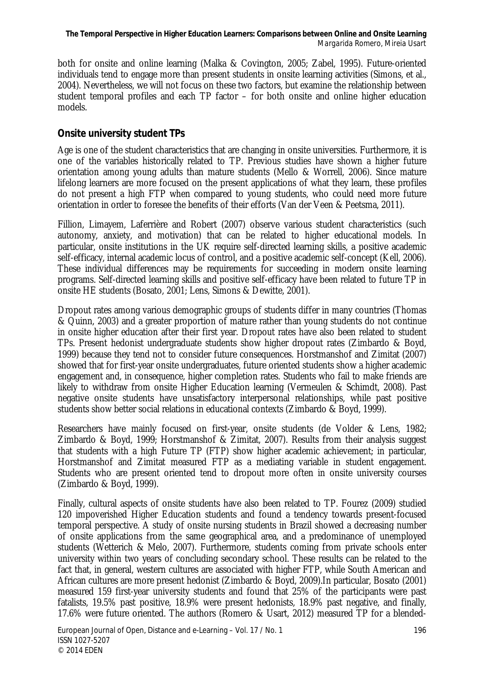both for onsite and online learning (Malka & Covington, 2005; Zabel, 1995). Future-oriented individuals tend to engage more than present students in onsite learning activities (Simons, et al., 2004). Nevertheless, we will not focus on these two factors, but examine the relationship between student temporal profiles and each TP factor – for both onsite and online higher education models.

### *Onsite university student TPs*

Age is one of the student characteristics that are changing in onsite universities. Furthermore, it is one of the variables historically related to TP. Previous studies have shown a higher future orientation among young adults than mature students (Mello & Worrell, 2006). Since mature lifelong learners are more focused on the present applications of what they learn, these profiles do not present a high FTP when compared to young students, who could need more future orientation in order to foresee the benefits of their efforts (Van der Veen & Peetsma, 2011).

Fillion, Limayem, Laferrière and Robert (2007) observe various student characteristics (such autonomy, anxiety, and motivation) that can be related to higher educational models. In particular, onsite institutions in the UK require self-directed learning skills, a positive academic self-efficacy, internal academic locus of control, and a positive academic self-concept (Kell, 2006). These individual differences may be requirements for succeeding in modern onsite learning programs. Self-directed learning skills and positive self-efficacy have been related to future TP in onsite HE students (Bosato, 2001; Lens, Simons & Dewitte, 2001).

Dropout rates among various demographic groups of students differ in many countries (Thomas & Quinn, 2003) and a greater proportion of mature rather than young students do not continue in onsite higher education after their first year. Dropout rates have also been related to student TPs. Present hedonist undergraduate students show higher dropout rates (Zimbardo & Boyd, 1999) because they tend not to consider future consequences. Horstmanshof and Zimitat (2007) showed that for first-year onsite undergraduates, future oriented students show a higher academic engagement and, in consequence, higher completion rates. Students who fail to make friends are likely to withdraw from onsite Higher Education learning (Vermeulen & Schimdt, 2008). Past negative onsite students have unsatisfactory interpersonal relationships, while past positive students show better social relations in educational contexts (Zimbardo & Boyd, 1999).

Researchers have mainly focused on first-year, onsite students (de Volder & Lens, 1982; Zimbardo & Boyd, 1999; Horstmanshof & Zimitat, 2007). Results from their analysis suggest that students with a high Future TP (FTP) show higher academic achievement; in particular, Horstmanshof and Zimitat measured FTP as a mediating variable in student engagement. Students who are present oriented tend to dropout more often in onsite university courses (Zimbardo & Boyd, 1999).

Finally, cultural aspects of onsite students have also been related to TP. Fourez (2009) studied 120 impoverished Higher Education students and found a tendency towards present-focused temporal perspective. A study of onsite nursing students in Brazil showed a decreasing number of onsite applications from the same geographical area, and a predominance of unemployed students (Wetterich & Melo, 2007). Furthermore, students coming from private schools enter university within two years of concluding secondary school. These results can be related to the fact that, in general, western cultures are associated with higher FTP, while South American and African cultures are more present hedonist (Zimbardo & Boyd, 2009).In particular, Bosato (2001) measured 159 first-year university students and found that 25% of the participants were past fatalists, 19.5% past positive, 18.9% were present hedonists, 18.9% past negative, and finally, 17.6% were future oriented. The authors (Romero & Usart, 2012) measured TP for a blended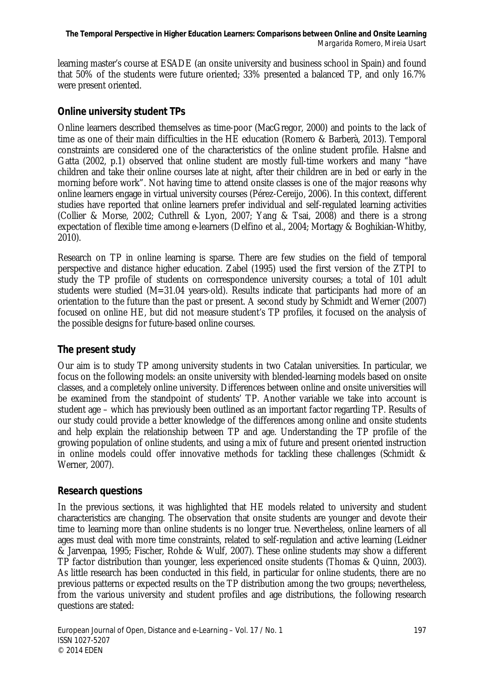learning master's course at ESADE (an onsite university and business school in Spain) and found that 50% of the students were future oriented; 33% presented a balanced TP, and only 16.7% were present oriented.

#### *Online university student TPs*

Online learners described themselves as time-poor (MacGregor, 2000) and points to the lack of time as one of their main difficulties in the HE education (Romero & Barberà, 2013). Temporal constraints are considered one of the characteristics of the online student profile. Halsne and Gatta (2002, p.1) observed that online student are mostly full-time workers and many "have children and take their online courses late at night, after their children are in bed or early in the morning before work". Not having time to attend onsite classes is one of the major reasons why online learners engage in virtual university courses (Pérez-Cereijo, 2006). In this context, different studies have reported that online learners prefer individual and self-regulated learning activities (Collier & Morse, 2002; Cuthrell & Lyon, 2007; Yang & Tsai, 2008) and there is a strong expectation of flexible time among e-learners (Delfino et al., 2004; Mortagy & Boghikian-Whitby, 2010).

Research on TP in online learning is sparse. There are few studies on the field of temporal perspective and distance higher education. Zabel (1995) used the first version of the ZTPI to study the TP profile of students on correspondence university courses; a total of 101 adult students were studied (M=31.04 years-old). Results indicate that participants had more of an orientation to the future than the past or present. A second study by Schmidt and Werner (2007) focused on online HE, but did not measure student's TP profiles, it focused on the analysis of the possible designs for future-based online courses.

# *The present study*

Our aim is to study TP among university students in two Catalan universities. In particular, we focus on the following models: an onsite university with blended-learning models based on onsite classes, and a completely online university. Differences between online and onsite universities will be examined from the standpoint of students' TP. Another variable we take into account is student age – which has previously been outlined as an important factor regarding TP. Results of our study could provide a better knowledge of the differences among online and onsite students and help explain the relationship between TP and age. Understanding the TP profile of the growing population of online students, and using a mix of future and present oriented instruction in online models could offer innovative methods for tackling these challenges (Schmidt & Werner, 2007).

#### *Research questions*

In the previous sections, it was highlighted that HE models related to university and student characteristics are changing. The observation that onsite students are younger and devote their time to learning more than online students is no longer true. Nevertheless, online learners of all ages must deal with more time constraints, related to self-regulation and active learning (Leidner & Jarvenpaa, 1995; Fischer, Rohde & Wulf, 2007). These online students may show a different TP factor distribution than younger, less experienced onsite students (Thomas & Quinn, 2003). As little research has been conducted in this field, in particular for online students, there are no previous patterns or expected results on the TP distribution among the two groups; nevertheless, from the various university and student profiles and age distributions, the following research questions are stated: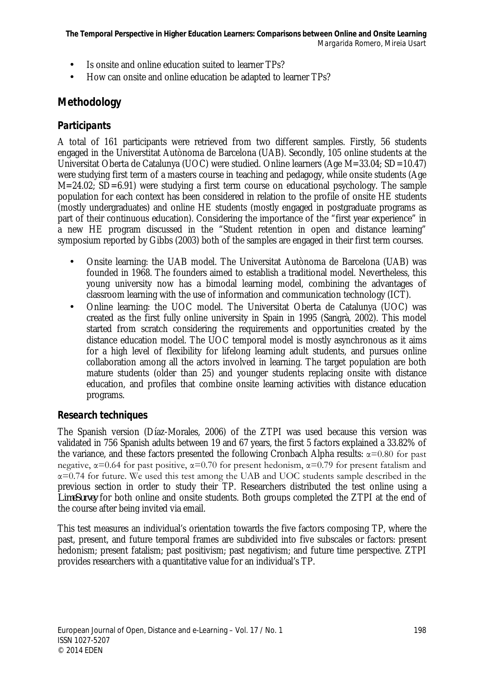- Is onsite and online education suited to learner TPs?
- l, How can onsite and online education be adapted to learner TPs?

# **Methodology**

# *Participants*

A total of 161 participants were retrieved from two different samples. Firstly, 56 students engaged in the Universtitat Autònoma de Barcelona (UAB). Secondly, 105 online students at the Universitat Oberta de Catalunya (UOC) were studied. Online learners (Age M=33.04; SD=10.47) were studying first term of a masters course in teaching and pedagogy, while onsite students (Age  $M=24.02$ ;  $SD=6.91$ ) were studying a first term course on educational psychology. The sample population for each context has been considered in relation to the profile of onsite HE students (mostly undergraduates) and online HE students (mostly engaged in postgraduate programs as part of their continuous education). Considering the importance of the "first year experience" in a new HE program discussed in the "Student retention in open and distance learning" symposium reported by Gibbs (2003) both of the samples are engaged in their first term courses.

- Onsite learning: the UAB model. The Universitat Autònoma de Barcelona (UAB) was t. founded in 1968. The founders aimed to establish a traditional model. Nevertheless, this young university now has a bimodal learning model, combining the advantages of classroom learning with the use of information and communication technology (ICT).
- Online learning: the UOC model. The Universitat Oberta de Catalunya (UOC) was  $\overline{\phantom{a}}$ created as the first fully online university in Spain in 1995 (Sangrà, 2002). This model started from scratch considering the requirements and opportunities created by the distance education model. The UOC temporal model is mostly asynchronous as it aims for a high level of flexibility for lifelong learning adult students, and pursues online collaboration among all the actors involved in learning. The target population are both mature students (older than 25) and younger students replacing onsite with distance education, and profiles that combine onsite learning activities with distance education programs.

# *Research techniques*

The Spanish version (Díaz-Morales, 2006) of the ZTPI was used because this version was validated in 756 Spanish adults between 19 and 67 years, the first 5 factors explained a 33.82% of the variance, and these factors presented the following Cronbach Alpha results:  $\alpha$ =0.80 for past negative,  $\alpha$ =0.64 for past positive,  $\alpha$ =0.70 for present hedonism,  $\alpha$ =0.79 for present fatalism and  $\alpha$ =0.74 for future. We used this test among the UAB and UOC students sample described in the previous section in order to study their TP. Researchers distributed the test online using a *LimeSurvey* for both online and onsite students. Both groups completed the ZTPI at the end of the course after being invited via email.

This test measures an individual's orientation towards the five factors composing TP, where the past, present, and future temporal frames are subdivided into five subscales or factors: present hedonism; present fatalism; past positivism; past negativism; and future time perspective. ZTPI provides researchers with a quantitative value for an individual's TP.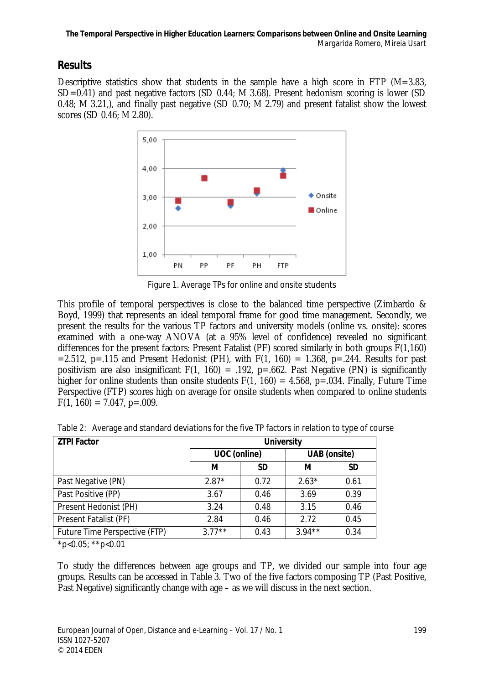# **Results**

Descriptive statistics show that students in the sample have a high score in FTP (M=3.83, SD=0.41) and past negative factors (SD 0.44; M 3.68). Present hedonism scoring is lower (SD 0.48; M 3.21,), and finally past negative (SD 0.70; M 2.79) and present fatalist show the lowest scores (SD 0.46; M 2.80).



Figure 1. Average TPs for online and onsite students

This profile of temporal perspectives is close to the balanced time perspective (Zimbardo & Boyd, 1999) that represents an ideal temporal frame for good time management. Secondly, we present the results for the various TP factors and university models (online vs. onsite): scores examined with a one-way ANOVA (at a 95% level of confidence) revealed no significant differences for the present factors: Present Fatalist (PF) scored similarly in both groups F(1,160)  $=2.512$ , p=.115 and Present Hedonist (PH), with F(1, 160) = 1.368, p=.244. Results for past positivism are also insignificant  $F(1, 160) = .192$ , p=.662. Past Negative (PN) is significantly higher for online students than onsite students  $F(1, 160) = 4.568$ , p=.034. Finally, Future Time Perspective (FTP) scores high on average for onsite students when compared to online students  $F(1, 160) = 7.047$ , p=.009.

| <b>ZTPI Factor</b>            | <b>University</b>            |           |           |           |
|-------------------------------|------------------------------|-----------|-----------|-----------|
|                               | UOC (online)<br>UAB (onsite) |           |           |           |
|                               | м                            | <b>SD</b> | м         | <b>SD</b> |
| Past Negative (PN)            | $2.87*$                      | 0.72      | $2.63*$   | 0.61      |
| Past Positive (PP)            | 3.67                         | 0.46      | 3.69      | 0.39      |
| Present Hedonist (PH)         | 3.24                         | 0.48      | 3.15      | 0.46      |
| Present Fatalist (PF)         | 2.84                         | 0.46      | 2.72      | 0.45      |
| Future Time Perspective (FTP) | $3.77***$                    | 0.43      | $3.94***$ | 0.34      |

Table 2: Average and standard deviations for the five TP factors in relation to type of course

 $*p<0.05$ ; \*\*p<0.01

To study the differences between age groups and TP, we divided our sample into four age groups. Results can be accessed in Table 3. Two of the five factors composing TP (Past Positive, Past Negative) significantly change with age – as we will discuss in the next section.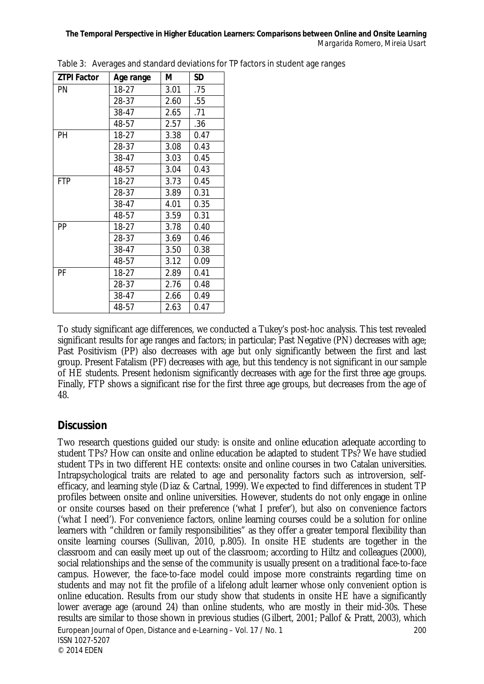| <b>ZTPI Factor</b> | Age range | М    | <b>SD</b> |
|--------------------|-----------|------|-----------|
| PN                 | 18-27     | 3.01 | .75       |
|                    | 28-37     | 2.60 | .55       |
|                    | 38-47     | 2.65 | .71       |
|                    | 48-57     | 2.57 | .36       |
| PH                 | $18-27$   | 3.38 | 0.47      |
|                    | 28-37     | 3.08 | 0.43      |
|                    | 38-47     | 3.03 | 0.45      |
|                    | 48-57     | 3.04 | 0.43      |
| <b>FTP</b>         | 18-27     | 3.73 | 0.45      |
|                    | 28-37     | 3.89 | 0.31      |
|                    | 38-47     | 4.01 | 0.35      |
|                    | 48-57     | 3.59 | 0.31      |
| PP                 | $18-27$   | 3.78 | 0.40      |
|                    | 28-37     | 3.69 | 0.46      |
|                    | 38-47     | 3.50 | 0.38      |
|                    | 48-57     | 3.12 | 0.09      |
| PF                 | $18-27$   | 2.89 | 0.41      |
|                    | 28-37     | 2.76 | 0.48      |
|                    | 38-47     | 2.66 | 0.49      |
|                    | 48-57     | 2.63 | 0.47      |

Table 3: Averages and standard deviations for TP factors in student age ranges

To study significant age differences, we conducted a Tukey's post-hoc analysis. This test revealed significant results for age ranges and factors; in particular; Past Negative (PN) decreases with age; Past Positivism (PP) also decreases with age but only significantly between the first and last group. Present Fatalism (PF) decreases with age, but this tendency is not significant in our sample of HE students. Present hedonism significantly decreases with age for the first three age groups. Finally, FTP shows a significant rise for the first three age groups, but decreases from the age of 48.

#### **Discussion**

European Journal of Open, Distance and e-Learning – Vol. 17 / No. 1 200 ISSN 1027-5207 © 2014 EDEN Two research questions guided our study: is onsite and online education adequate according to student TPs? How can onsite and online education be adapted to student TPs? We have studied student TPs in two different HE contexts: onsite and online courses in two Catalan universities. Intrapsychological traits are related to age and personality factors such as introversion, selfefficacy, and learning style (Diaz & Cartnal, 1999). We expected to find differences in student TP profiles between onsite and online universities. However, students do not only engage in online or onsite courses based on their preference ('what I prefer'), but also on convenience factors ('what I need'). For convenience factors, online learning courses could be a solution for online learners with "children or family responsibilities" as they offer a greater temporal flexibility than onsite learning courses (Sullivan, 2010, p.805). In onsite HE students are together in the classroom and can easily meet up out of the classroom; according to Hiltz and colleagues (2000), social relationships and the sense of the community is usually present on a traditional face-to-face campus. However, the face-to-face model could impose more constraints regarding time on students and may not fit the profile of a lifelong adult learner whose only convenient option is online education. Results from our study show that students in onsite HE have a significantly lower average age (around 24) than online students, who are mostly in their mid-30s. These results are similar to those shown in previous studies (Gilbert, 2001; Pallof & Pratt, 2003), which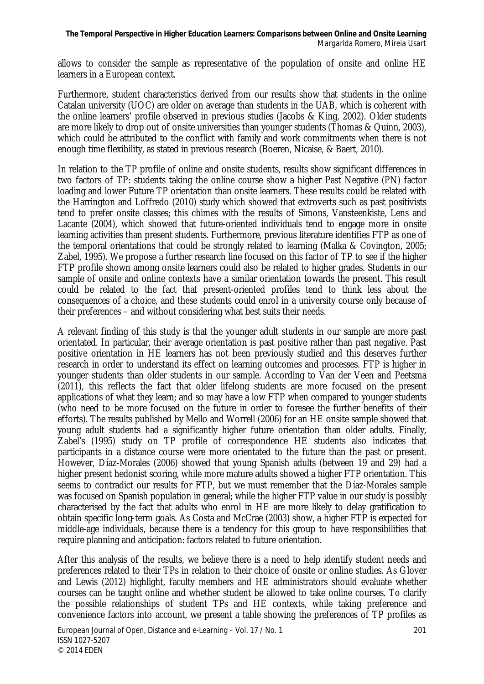allows to consider the sample as representative of the population of onsite and online HE learners in a European context.

Furthermore, student characteristics derived from our results show that students in the online Catalan university (UOC) are older on average than students in the UAB, which is coherent with the online learners' profile observed in previous studies (Jacobs & King, 2002). Older students are more likely to drop out of onsite universities than younger students (Thomas & Quinn, 2003), which could be attributed to the conflict with family and work commitments when there is not enough time flexibility, as stated in previous research (Boeren, Nicaise, & Baert, 2010).

In relation to the TP profile of online and onsite students, results show significant differences in two factors of TP: students taking the online course show a higher Past Negative (PN) factor loading and lower Future TP orientation than onsite learners. These results could be related with the Harrington and Loffredo (2010) study which showed that extroverts such as past positivists tend to prefer onsite classes; this chimes with the results of Simons, Vansteenkiste, Lens and Lacante (2004), which showed that future-oriented individuals tend to engage more in onsite learning activities than present students. Furthermore, previous literature identifies FTP as one of the temporal orientations that could be strongly related to learning (Malka & Covington, 2005; Zabel, 1995). We propose a further research line focused on this factor of TP to see if the higher FTP profile shown among onsite learners could also be related to higher grades. Students in our sample of onsite and online contexts have a similar orientation towards the present. This result could be related to the fact that present-oriented profiles tend to think less about the consequences of a choice, and these students could enrol in a university course only because of their preferences – and without considering what best suits their needs.

A relevant finding of this study is that the younger adult students in our sample are more past orientated. In particular, their average orientation is past positive rather than past negative. Past positive orientation in HE learners has not been previously studied and this deserves further research in order to understand its effect on learning outcomes and processes. FTP is higher in younger students than older students in our sample. According to Van der Veen and Peetsma (2011), this reflects the fact that older lifelong students are more focused on the present applications of what they learn; and so may have a low FTP when compared to younger students (who need to be more focused on the future in order to foresee the further benefits of their efforts). The results published by Mello and Worrell (2006) for an HE onsite sample showed that young adult students had a significantly higher future orientation than older adults. Finally, Zabel's (1995) study on TP profile of correspondence HE students also indicates that participants in a distance course were more orientated to the future than the past or present. However, Díaz-Morales (2006) showed that young Spanish adults (between 19 and 29) had a higher present hedonist scoring, while more mature adults showed a higher FTP orientation. This seems to contradict our results for FTP, but we must remember that the Díaz-Morales sample was focused on Spanish population in general; while the higher FTP value in our study is possibly characterised by the fact that adults who enrol in HE are more likely to delay gratification to obtain specific long-term goals. As Costa and McCrae (2003) show, a higher FTP is expected for middle-age individuals, because there is a tendency for this group to have responsibilities that require planning and anticipation: factors related to future orientation.

After this analysis of the results, we believe there is a need to help identify student needs and preferences related to their TPs in relation to their choice of onsite or online studies. As Glover and Lewis (2012) highlight, faculty members and HE administrators should evaluate whether courses can be taught online and whether student be allowed to take online courses. To clarify the possible relationships of student TPs and HE contexts, while taking preference and convenience factors into account, we present a table showing the preferences of TP profiles as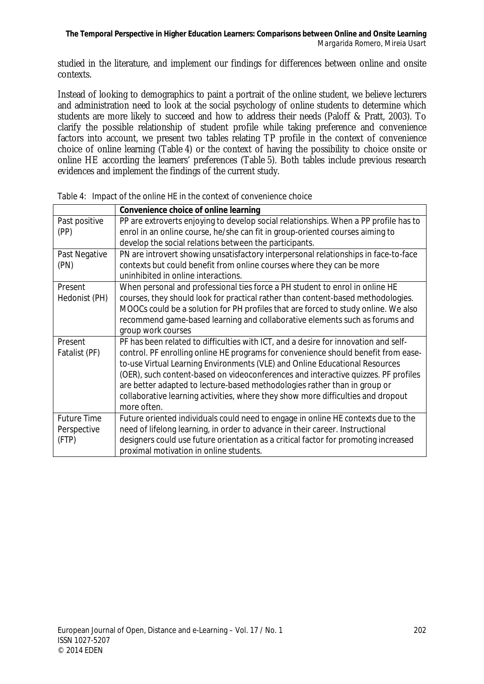studied in the literature, and implement our findings for differences between online and onsite contexts.

Instead of looking to demographics to paint a portrait of the online student, we believe lecturers and administration need to look at the social psychology of online students to determine which students are more likely to succeed and how to address their needs (Paloff & Pratt, 2003). To clarify the possible relationship of student profile while taking preference and convenience factors into account, we present two tables relating TP profile in the context of convenience choice of online learning (Table 4) or the context of having the possibility to choice onsite or online HE according the learners' preferences (Table 5). Both tables include previous research evidences and implement the findings of the current study.

|                    | Convenience choice of online learning                                                |
|--------------------|--------------------------------------------------------------------------------------|
| Past positive      | PP are extroverts enjoying to develop social relationships. When a PP profile has to |
| (PP)               | enrol in an online course, he/she can fit in group-oriented courses aiming to        |
|                    | develop the social relations between the participants.                               |
| Past Negative      | PN are introvert showing unsatisfactory interpersonal relationships in face-to-face  |
| (PN)               | contexts but could benefit from online courses where they can be more                |
|                    | uninhibited in online interactions.                                                  |
| Present            | When personal and professional ties force a PH student to enrol in online HE         |
| Hedonist (PH)      | courses, they should look for practical rather than content-based methodologies.     |
|                    | MOOCs could be a solution for PH profiles that are forced to study online. We also   |
|                    | recommend game-based learning and collaborative elements such as forums and          |
|                    | group work courses                                                                   |
| Present            | PF has been related to difficulties with ICT, and a desire for innovation and self-  |
| Fatalist (PF)      | control. PF enrolling online HE programs for convenience should benefit from ease-   |
|                    | to-use Virtual Learning Environments (VLE) and Online Educational Resources          |
|                    | (OER), such content-based on videoconferences and interactive quizzes. PF profiles   |
|                    | are better adapted to lecture-based methodologies rather than in group or            |
|                    | collaborative learning activities, where they show more difficulties and dropout     |
|                    | more often.                                                                          |
| <b>Future Time</b> | Future oriented individuals could need to engage in online HE contexts due to the    |
| Perspective        | need of lifelong learning, in order to advance in their career. Instructional        |
| (FTP)              | designers could use future orientation as a critical factor for promoting increased  |
|                    | proximal motivation in online students.                                              |

|  |  |  |  | Table 4: Impact of the online HE in the context of convenience choice |
|--|--|--|--|-----------------------------------------------------------------------|
|--|--|--|--|-----------------------------------------------------------------------|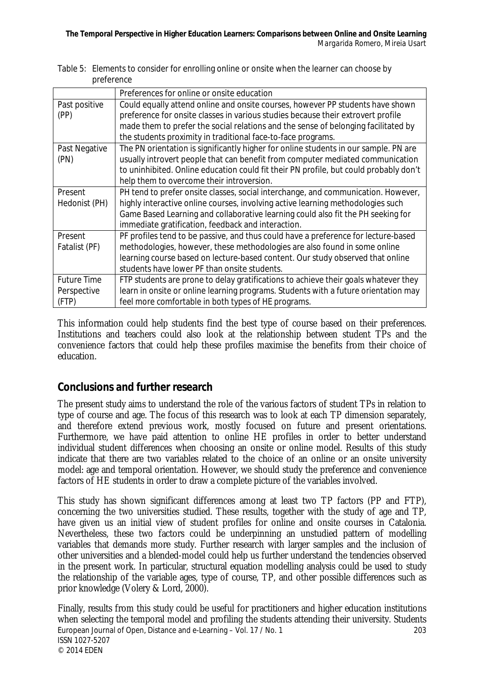|                    | Preferences for online or onsite education                                            |
|--------------------|---------------------------------------------------------------------------------------|
| Past positive      | Could equally attend online and onsite courses, however PP students have shown        |
| (PP)               | preference for onsite classes in various studies because their extrovert profile      |
|                    | made them to prefer the social relations and the sense of belonging facilitated by    |
|                    | the students proximity in traditional face-to-face programs.                          |
| Past Negative      | The PN orientation is significantly higher for online students in our sample. PN are  |
| (PN)               | usually introvert people that can benefit from computer mediated communication        |
|                    | to uninhibited. Online education could fit their PN profile, but could probably don't |
|                    | help them to overcome their introversion.                                             |
| Present            | PH tend to prefer onsite classes, social interchange, and communication. However,     |
| Hedonist (PH)      | highly interactive online courses, involving active learning methodologies such       |
|                    | Game Based Learning and collaborative learning could also fit the PH seeking for      |
|                    | immediate gratification, feedback and interaction.                                    |
| Present            | PF profiles tend to be passive, and thus could have a preference for lecture-based    |
| Fatalist (PF)      | methodologies, however, these methodologies are also found in some online             |
|                    | learning course based on lecture-based content. Our study observed that online        |
|                    | students have lower PF than onsite students.                                          |
| <b>Future Time</b> | FTP students are prone to delay gratifications to achieve their goals whatever they   |
| Perspective        | learn in onsite or online learning programs. Students with a future orientation may   |
| (FTP)              | feel more comfortable in both types of HE programs.                                   |

Table 5: Elements to consider for enrolling online or onsite when the learner can choose by preference

This information could help students find the best type of course based on their preferences. Institutions and teachers could also look at the relationship between student TPs and the convenience factors that could help these profiles maximise the benefits from their choice of education.

# **Conclusions and further research**

The present study aims to understand the role of the various factors of student TPs in relation to type of course and age. The focus of this research was to look at each TP dimension separately, and therefore extend previous work, mostly focused on future and present orientations. Furthermore, we have paid attention to online HE profiles in order to better understand individual student differences when choosing an onsite or online model. Results of this study indicate that there are two variables related to the choice of an online or an onsite university model: age and temporal orientation. However, we should study the preference and convenience factors of HE students in order to draw a complete picture of the variables involved.

This study has shown significant differences among at least two TP factors (PP and FTP), concerning the two universities studied. These results, together with the study of age and TP, have given us an initial view of student profiles for online and onsite courses in Catalonia. Nevertheless, these two factors could be underpinning an unstudied pattern of modelling variables that demands more study. Further research with larger samples and the inclusion of other universities and a blended-model could help us further understand the tendencies observed in the present work. In particular, structural equation modelling analysis could be used to study the relationship of the variable ages, type of course, TP, and other possible differences such as prior knowledge (Volery & Lord, 2000).

European Journal of Open, Distance and e-Learning – Vol. 17 / No. 1 203 ISSN 1027-5207 © 2014 EDEN Finally, results from this study could be useful for practitioners and higher education institutions when selecting the temporal model and profiling the students attending their university. Students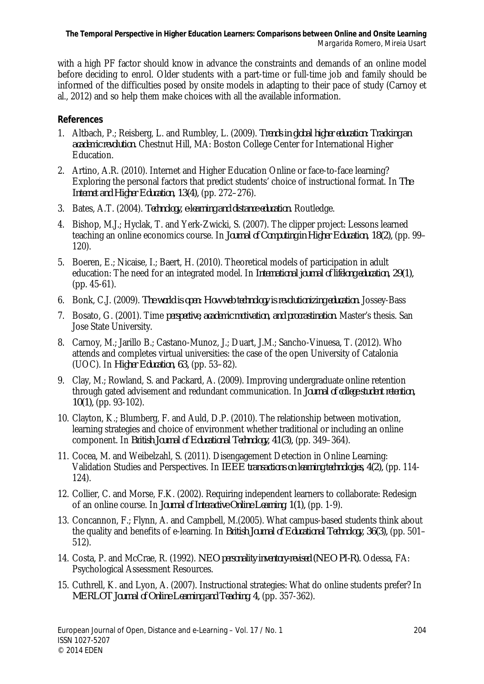with a high PF factor should know in advance the constraints and demands of an online model before deciding to enrol. Older students with a part-time or full-time job and family should be informed of the difficulties posed by onsite models in adapting to their pace of study (Carnoy et al., 2012) and so help them make choices with all the available information.

#### **References**

- 1. Altbach, P.; Reisberg, L. and Rumbley, L. (2009). *Trends in global higher education: Tracking an academic revolution.* Chestnut Hill, MA: Boston College Center for International Higher Education.
- 2. Artino, A.R. (2010). Internet and Higher Education Online or face-to-face learning? Exploring the personal factors that predict students' choice of instructional format. In *The Internet and Higher Education, 13(4),* (pp. 272–276).
- 3. Bates, A.T. (2004). *Technology, e-learning and distance education.* Routledge.
- 4. Bishop, M.J.; Hyclak, T. and Yerk-Zwicki, S. (2007). The clipper project: Lessons learned teaching an online economics course. In *Journal of Computing in Higher Education, 18(2),* (pp. 99– 120).
- 5. Boeren, E.; Nicaise, I.; Baert, H. (2010). Theoretical models of participation in adult education: The need for an integrated model. In *International journal of lifelong education, 29(1),* (pp. 45-61).
- 6. Bonk, C.J. (2009). *The world is open: How web technology is revolutionizing education.* Jossey-Bass
- 7. Bosato, G. (2001). Time *perspective, academic motivation, and procrastination.* Master's thesis. San Jose State University.
- 8. Carnoy, M.; Jarillo B.; Castano-Munoz, J.; Duart, J.M.; Sancho-Vinuesa, T. (2012). Who attends and completes virtual universities: the case of the open University of Catalonia (UOC). In *Higher Education, 63,* (pp. 53–82).
- 9. Clay, M.; Rowland, S. and Packard, A. (2009). Improving undergraduate online retention through gated advisement and redundant communication. In *Journal of college student retention, 10(1),* (pp. 93-102).
- 10. Clayton, K.; Blumberg, F. and Auld, D.P. (2010). The relationship between motivation, learning strategies and choice of environment whether traditional or including an online component. In *British Journal of Educational Technology, 41(3),* (pp. 349–364).
- 11. Cocea, M. and Weibelzahl, S. (2011). Disengagement Detection in Online Learning: Validation Studies and Perspectives. In *IEEE transactions on learning technologies, 4(2),* (pp. 114- 124).
- 12. Collier, C. and Morse, F.K. (2002). Requiring independent learners to collaborate: Redesign of an online course. In *Journal of Interactive Online Learning, 1(1),* (pp. 1-9).
- 13. Concannon, F.; Flynn, A. and Campbell, M.(2005). What campus-based students think about the quality and benefits of e-learning. In *British Journal of Educational Technology, 36(3),* (pp. 501– 512).
- 14. Costa, P. and McCrae, R. (1992). *NEO personality inventory-revised (NEO PI-R).* Odessa, FA: Psychological Assessment Resources.
- 15. Cuthrell, K. and Lyon, A. (2007). Instructional strategies: What do online students prefer? In *MERLOT Journal of Online Learning and Teaching, 4,* (pp. 357-362).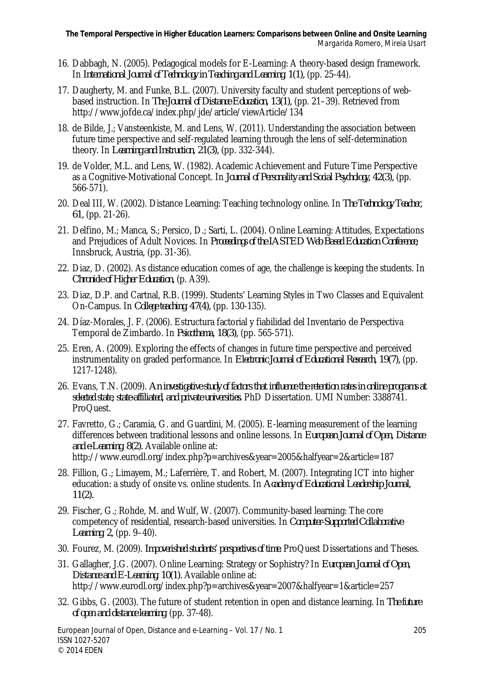- 16. Dabbagh, N. (2005). Pedagogical models for E-Learning: A theory-based design framework. In *International Journal of Technology in Teaching and Learning, 1(1),* (pp. 25-44).
- 17. Daugherty, M. and Funke, B.L. (2007). University faculty and student perceptions of webbased instruction. In *The Journal of Distance Education, 13(1),* (pp. 21–39). Retrieved from http://www.jofde.ca/index.php/jde/article/viewArticle/134
- 18. de Bilde, J.; Vansteenkiste, M. and Lens, W. (2011). Understanding the association between future time perspective and self-regulated learning through the lens of self-determination theory. In *Learning and Instruction, 21(3),* (pp. 332-344).
- 19. de Volder, M.L. and Lens, W. (1982). Academic Achievement and Future Time Perspective as a Cognitive-Motivational Concept. In *Journal of Personality and Social Psychology, 42(3),* (pp. 566-571).
- 20. Deal III, W. (2002). Distance Learning: Teaching technology online. In *The Technology Teacher, 61,* (pp. 21-26).
- 21. Delfino, M.; Manca, S.; Persico, D.; Sarti, L. (2004). Online Learning: Attitudes, Expectations and Prejudices of Adult Novices. In *Proceedings of the IASTED Web Based Education Conference,* Innsbruck, Austria, (pp. 31-36).
- 22. Diaz, D. (2002). As distance education comes of age, the challenge is keeping the students. In *Chronicle of Higher Education,* (p. A39).
- 23. Diaz, D.P. and Cartnal, R.B. (1999). Students' Learning Styles in Two Classes and Equivalent On-Campus. In *College teaching, 47(4),* (pp. 130-135).
- 24. Díaz-Morales, J. F. (2006). Estructura factorial y fiabilidad del Inventario de Perspectiva Temporal de Zimbardo. In *Psicothema, 18(3),* (pp. 565-571).
- 25. Eren, A. (2009). Exploring the effects of changes in future time perspective and perceived instrumentality on graded performance. In *Electronic Journal of Educational Research, 19(7),* (pp. 1217-1248).
- 26. Evans, T.N. (2009). *An investigative study of factors that influence the retention rates in online programs at selected state, state-affiliated, and private universities.* PhD Dissertation. UMI Number: 3388741. ProQuest.
- 27. Favretto, G.; Caramia, G. and Guardini, M. (2005). E-learning measurement of the learning differences between traditional lessons and online lessons. In *European Journal of Open, Distance and e-Learning, 8(2).* Available online at: http://www.eurodl.org/index.php?p=archives&year=2005&halfyear=2&article=187
- 28. Fillion, G.; Limayem, M.; Laferrière, T. and Robert, M. (2007). Integrating ICT into higher education: a study of onsite vs. online students. In *Academy of Educational Leadership Journal, 11(2).*
- 29. Fischer, G.; Rohde, M. and Wulf, W. (2007). Community-based learning: The core competency of residential, research-based universities. In *Computer-Supported Collaborative Learning, 2,* (pp. 9–40).
- 30. Fourez, M. (2009). *Impoverished students' perspectives of time.* ProQuest Dissertations and Theses.
- 31. Gallagher, J.G. (2007). Online Learning: Strategy or Sophistry? In *European Journal of Open, Distance and E-Learning, 10(1).* Available online at: http://www.eurodl.org/index.php?p=archives&year=2007&halfyear=1&article=257
- 32. Gibbs, G. (2003). The future of student retention in open and distance learning. In *The future of open and distance learning,* (pp. 37-48).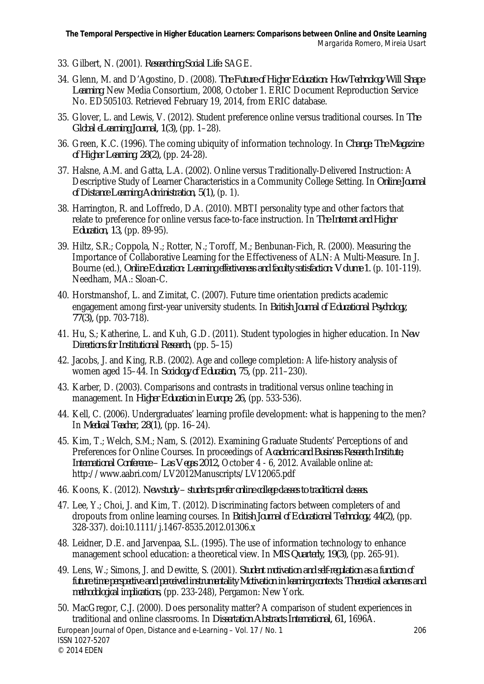- 33. Gilbert, N. (2001). *Researching Social Life.* SAGE.
- 34. Glenn, M. and D'Agostino, D. (2008). *The Future of Higher Education: How Technology Will Shape Learning.* New Media Consortium, 2008, October 1. ERIC Document Reproduction Service No. ED505103. Retrieved February 19, 2014, from ERIC database.
- 35. Glover, L. and Lewis, V. (2012). Student preference online versus traditional courses. In *The Global eLearning Journal, 1(3),* (pp. 1–28).
- 36. Green, K.C. (1996). The coming ubiquity of information technology. In *Change: The Magazine of Higher Learning, 28(2),* (pp. 24-28).
- 37. Halsne, A.M. and Gatta, L.A. (2002). Online versus Traditionally-Delivered Instruction: A Descriptive Study of Learner Characteristics in a Community College Setting. In *Online Journal of Distance Learning Administration, 5(1),* (p. 1).
- 38. Harrington, R. and Loffredo, D.A. (2010). MBTI personality type and other factors that relate to preference for online versus face-to-face instruction. In *The Internet and Higher Education, 13,* (pp. 89-95).
- 39. Hiltz, S.R.; Coppola, N.; Rotter, N.; Toroff, M.; Benbunan-Fich, R. (2000). Measuring the Importance of Collaborative Learning for the Effectiveness of ALN: A Multi-Measure. In J. Bourne (ed.), *Online Education: Learning effectiveness and faculty satisfaction: Volume 1.* (p. 101-119). Needham, MA.: Sloan-C.
- 40. Horstmanshof, L. and Zimitat, C. (2007). Future time orientation predicts academic engagement among first-year university students. In *British Journal of Educational Psychology, 77(3),* (pp. 703-718).
- 41. Hu, S.; Katherine, L. and Kuh, G.D. (2011). Student typologies in higher education. In *New Directions for Institutional Research,* (pp. 5–15)
- 42. Jacobs, J. and King, R.B. (2002). Age and college completion: A life-history analysis of women aged 15–44. In *Sociology of Education, 75,* (pp. 211–230).
- 43. Karber, D. (2003). Comparisons and contrasts in traditional versus online teaching in management. In *Higher Education in Europe, 26,* (pp. 533-536).
- 44. Kell, C. (2006). Undergraduates' learning profile development: what is happening to the men? In *Medical Teacher, 28(1),* (pp. 16–24).
- 45. Kim, T.; Welch, S.M.; Nam, S. (2012). Examining Graduate Students' Perceptions of and Preferences for Online Courses. In proceedings of *Academic and Business Research Institute, International Conference – Las Vegas 2012,* October 4 - 6, 2012. Available online at: http://www.aabri.com/LV2012Manuscripts/LV12065.pdf
- 46. Koons, K. (2012). *New study – students prefer online college classes to traditional classes.*
- 47. Lee, Y.; Choi, J. and Kim, T. (2012). Discriminating factors between completers of and dropouts from online learning courses. In *British Journal of Educational Technology, 44(2),* (pp. 328-337). doi:10.1111/j.1467-8535.2012.01306.x
- 48. Leidner, D.E. and Jarvenpaa, S.L. (1995). The use of information technology to enhance management school education: a theoretical view. In *MIS Quarterly, 19(3),* (pp. 265-91).
- 49. Lens, W.; Simons, J. and Dewitte, S. (2001). *Student motivation and self-regulation as a function of future time perspective and perceived instrumentality Motivation in learning contexts: Theoretical advances and methodological implications,* (pp. 233-248), Pergamon: New York.
- European Journal of Open, Distance and e-Learning Vol. 17 / No. 1 206 50. MacGregor, C.J. (2000). Does personality matter? A comparison of student experiences in traditional and online classrooms. In *Dissertation Abstracts International, 61,* 1696A.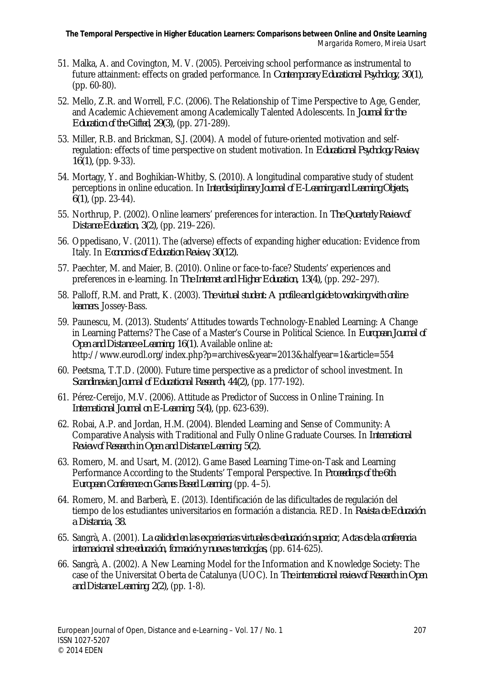- 51. Malka, A. and Covington, M. V. (2005). Perceiving school performance as instrumental to future attainment: effects on graded performance. In *Contemporary Educational Psychology, 30(1),*  (pp. 60-80).
- 52. Mello, Z.R. and Worrell, F.C. (2006). The Relationship of Time Perspective to Age, Gender, and Academic Achievement among Academically Talented Adolescents. In *Journal for the Education of the Gifted, 29(3),* (pp. 271-289).
- 53. Miller, R.B. and Brickman, S.J. (2004). A model of future-oriented motivation and selfregulation: effects of time perspective on student motivation. In *Educational Psychology Review, 16(1),* (pp. 9-33).
- 54. Mortagy, Y. and Boghikian-Whitby, S. (2010). A longitudinal comparative study of student perceptions in online education. In *Interdisciplinary Journal of E-Learning and Learning Objects, 6(1),* (pp. 23-44).
- 55. Northrup, P. (2002). Online learners' preferences for interaction. In *The Quarterly Review of Distance Education, 3(2),* (pp. 219–226).
- 56. Oppedisano, V. (2011). The (adverse) effects of expanding higher education: Evidence from Italy. In *Economics of Education Review, 30(12).*
- 57. Paechter, M. and Maier, B. (2010). Online or face-to-face? Students' experiences and preferences in e-learning. In *The Internet and Higher Education, 13(4),* (pp. 292–297).
- 58. Palloff, R.M. and Pratt, K. (2003). *The virtual student: A profile and guide to working with online learners.* Jossey-Bass.
- 59. Paunescu, M. (2013). Students' Attitudes towards Technology-Enabled Learning: A Change in Learning Patterns? The Case of a Master's Course in Political Science. In *European Journal of Open and Distance e-Learning, 16(1).* Available online at: http://www.eurodl.org/index.php?p=archives&year=2013&halfyear=1&article=554
- 60. Peetsma, T.T.D. (2000). Future time perspective as a predictor of school investment. In *Scandinavian Journal of Educational Research, 44(2),* (pp. 177-192).
- 61. Pérez-Cereijo, M.V. (2006). Attitude as Predictor of Success in Online Training. In *International Journal on E-Learning, 5(4),* (pp. 623-639).
- 62. Robai, A.P. and Jordan, H.M. (2004). Blended Learning and Sense of Community: A Comparative Analysis with Traditional and Fully Online Graduate Courses. In *International Review of Research in Open and Distance Learning, 5(2).*
- 63. Romero, M. and Usart, M. (2012). Game Based Learning Time-on-Task and Learning Performance According to the Students' Temporal Perspective. In *Proceedings of the 6th European Conference on Games Based Learning,* (pp. 4–5).
- 64. Romero, M. and Barberà, E. (2013). Identificación de las dificultades de regulación del tiempo de los estudiantes universitarios en formación a distancia. RED. In *Revista de Educación a Distancia, 38.*
- 65. Sangrà, A. (2001). *La calidad en las experiencias virtuales de educación superior, Actas de la conferencia internacional sobre educación, formación y nuevas tecnologías,* (pp. 614-625).
- 66. Sangrà, A. (2002). A New Learning Model for the Information and Knowledge Society: The case of the Universitat Oberta de Catalunya (UOC). In *The international review of Research in Open and Distance Learning, 2(2),* (pp. 1-8).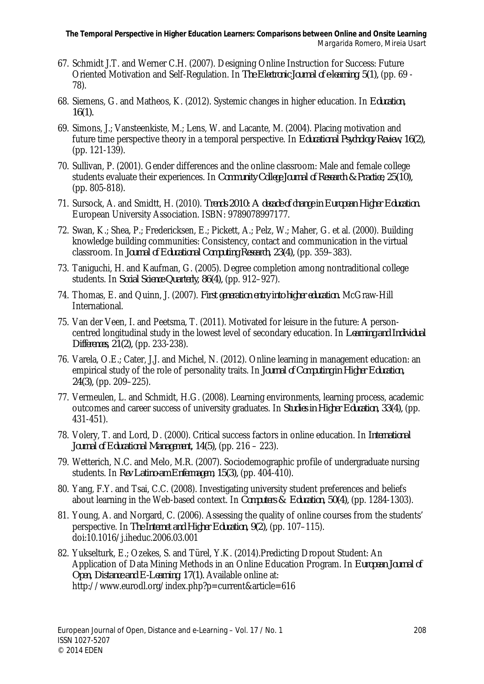- 67. Schmidt J.T. and Werner C.H. (2007). Designing Online Instruction for Success: Future Oriented Motivation and Self-Regulation. In *The Electronic Journal of e-learning, 5(1),* (pp. 69 - 78).
- 68. Siemens, G. and Matheos, K. (2012). Systemic changes in higher education. In *Education, 16(1).*
- 69. Simons, J.; Vansteenkiste, M.; Lens, W. and Lacante, M. (2004). Placing motivation and future time perspective theory in a temporal perspective. In *Educational Psychology Review, 16(2),* (pp. 121-139).
- 70. Sullivan, P. (2001). Gender differences and the online classroom: Male and female college students evaluate their experiences. In *Community College Journal of Research &Practice, 25(10),* (pp. 805-818).
- 71. Sursock, A. and Smidtt, H. (2010). *Trends 2010: A decade of change in European Higher Education.*  European University Association. ISBN: 9789078997177.
- 72. Swan, K.; Shea, P.; Fredericksen, E.; Pickett, A.; Pelz, W.; Maher, G. et al. (2000). Building knowledge building communities: Consistency, contact and communication in the virtual classroom. In *Journal of Educational Computing Research, 23(4),* (pp. 359–383).
- 73. Taniguchi, H. and Kaufman, G. (2005). Degree completion among nontraditional college students. In *Social Science Quarterly, 86(4),* (pp. 912–927).
- 74. Thomas, E. and Quinn, J. (2007). *First generation entry into higher education.* McGraw-Hill International.
- 75. Van der Veen, I. and Peetsma, T. (2011). Motivated for leisure in the future: A personcentred longitudinal study in the lowest level of secondary education. In *Learning and Individual Differences, 21(2),* (pp. 233-238).
- 76. Varela, O.E.; Cater, J.J. and Michel, N. (2012). Online learning in management education: an empirical study of the role of personality traits. In *Journal of Computing in Higher Education, 24(3),* (pp. 209–225).
- 77. Vermeulen, L. and Schmidt, H.G. (2008). Learning environments, learning process, academic outcomes and career success of university graduates. In *Studies in Higher Education, 33(4),* (pp. 431-451).
- 78. Volery, T. and Lord, D. (2000). Critical success factors in online education. In *International Journal of Educational Management, 14(5),* (pp. 216 – 223).
- 79. Wetterich, N.C. and Melo, M.R. (2007). Sociodemographic profile of undergraduate nursing students. In *Rev Latino-am Enfermagem, 15(3),* (pp. 404-410).
- 80. Yang, F.Y. and Tsai, C.C. (2008). Investigating university student preferences and beliefs about learning in the Web-based context. In *Computers & Education, 50(4),* (pp. 1284-1303).
- 81. Young, A. and Norgard, C. (2006). Assessing the quality of online courses from the students' perspective. In *The Internet and Higher Education, 9(2),* (pp. 107–115). doi:10.1016/j.iheduc.2006.03.001
- 82. Yukselturk, E.; Ozekes, S. and Türel, Y.K. (2014).Predicting Dropout Student: An Application of Data Mining Methods in an Online Education Program. In *European Journal of Open, Distance and E-Learning, 17(1).* Available online at: http://www.eurodl.org/index.php?p=current&article=616